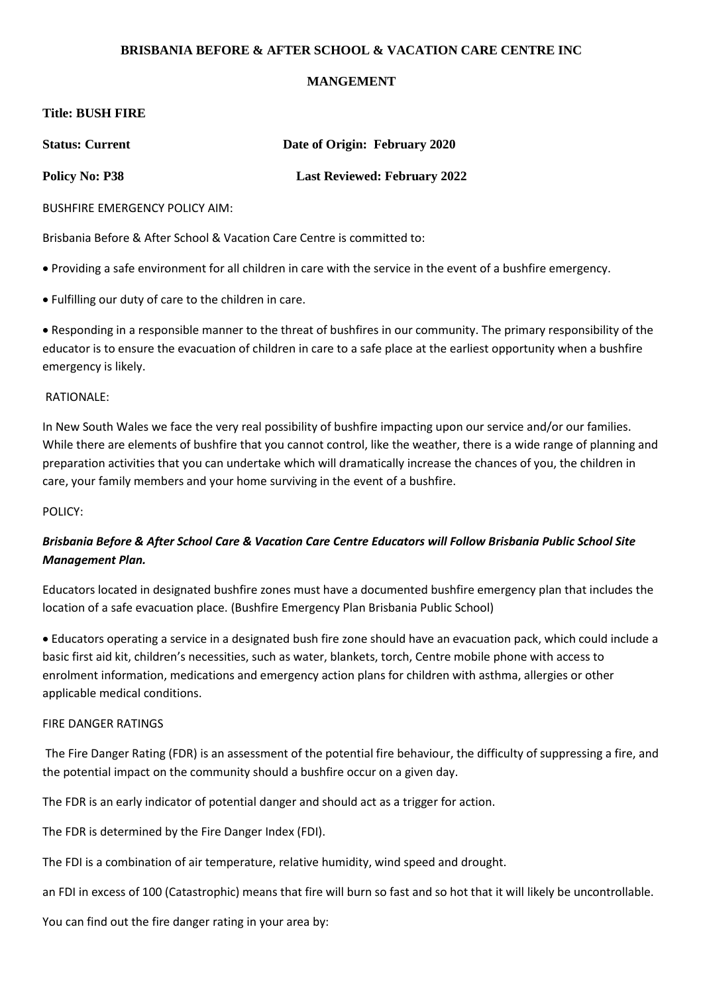# **BRISBANIA BEFORE & AFTER SCHOOL & VACATION CARE CENTRE INC**

# **MANGEMENT**

## **Title: BUSH FIRE**

| <b>Status: Current</b> | Date of Origin: February 2020       |
|------------------------|-------------------------------------|
| <b>Policy No: P38</b>  | <b>Last Reviewed: February 2022</b> |

BUSHFIRE EMERGENCY POLICY AIM:

Brisbania Before & After School & Vacation Care Centre is committed to:

• Providing a safe environment for all children in care with the service in the event of a bushfire emergency.

• Fulfilling our duty of care to the children in care.

• Responding in a responsible manner to the threat of bushfires in our community. The primary responsibility of the educator is to ensure the evacuation of children in care to a safe place at the earliest opportunity when a bushfire emergency is likely.

# RATIONALE:

In New South Wales we face the very real possibility of bushfire impacting upon our service and/or our families. While there are elements of bushfire that you cannot control, like the weather, there is a wide range of planning and preparation activities that you can undertake which will dramatically increase the chances of you, the children in care, your family members and your home surviving in the event of a bushfire.

## POLICY:

# *Brisbania Before & After School Care & Vacation Care Centre Educators will Follow Brisbania Public School Site Management Plan.*

Educators located in designated bushfire zones must have a documented bushfire emergency plan that includes the location of a safe evacuation place. (Bushfire Emergency Plan Brisbania Public School)

• Educators operating a service in a designated bush fire zone should have an evacuation pack, which could include a basic first aid kit, children's necessities, such as water, blankets, torch, Centre mobile phone with access to enrolment information, medications and emergency action plans for children with asthma, allergies or other applicable medical conditions.

#### FIRE DANGER RATINGS

The Fire Danger Rating (FDR) is an assessment of the potential fire behaviour, the difficulty of suppressing a fire, and the potential impact on the community should a bushfire occur on a given day.

The FDR is an early indicator of potential danger and should act as a trigger for action.

The FDR is determined by the Fire Danger Index (FDI).

The FDI is a combination of air temperature, relative humidity, wind speed and drought.

an FDI in excess of 100 (Catastrophic) means that fire will burn so fast and so hot that it will likely be uncontrollable.

You can find out the fire danger rating in your area by: